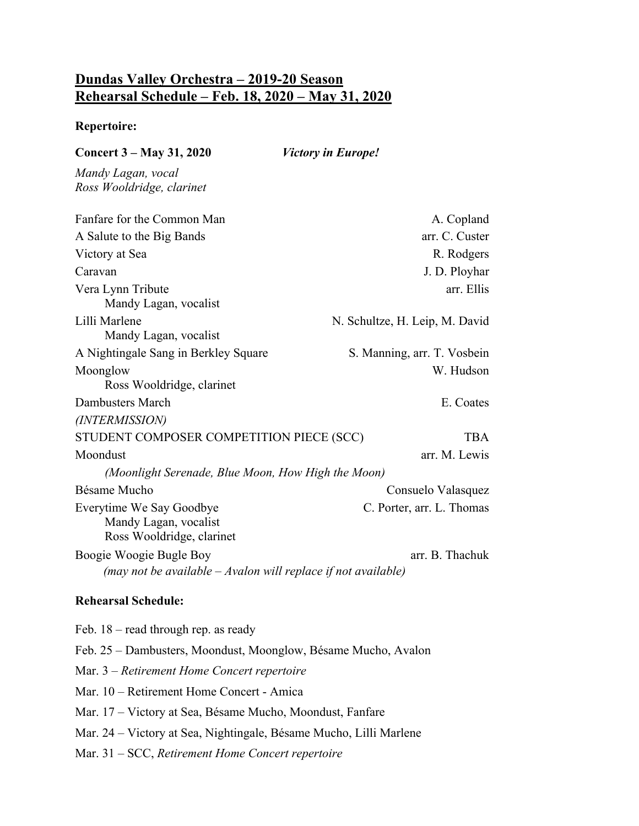## **Dundas Valley Orchestra – 2019-20 Season Rehearsal Schedule – Feb. 18, 2020 – May 31, 2020**

## **Repertoire:**

| <b>Concert 3 – May 31, 2020</b>                                                | <b>Victory in Europe!</b>      |
|--------------------------------------------------------------------------------|--------------------------------|
| Mandy Lagan, vocal<br>Ross Wooldridge, clarinet                                |                                |
| Fanfare for the Common Man                                                     | A. Copland                     |
| A Salute to the Big Bands                                                      | arr. C. Custer                 |
| Victory at Sea                                                                 | R. Rodgers                     |
| Caravan                                                                        | J. D. Ployhar                  |
| Vera Lynn Tribute<br>Mandy Lagan, vocalist                                     | arr. Ellis                     |
| Lilli Marlene<br>Mandy Lagan, vocalist                                         | N. Schultze, H. Leip, M. David |
| A Nightingale Sang in Berkley Square                                           | S. Manning, arr. T. Vosbein    |
| Moonglow                                                                       | W. Hudson                      |
| Ross Wooldridge, clarinet                                                      |                                |
| Dambusters March                                                               | E. Coates                      |
| (INTERMISSION)                                                                 |                                |
| STUDENT COMPOSER COMPETITION PIECE (SCC)                                       | <b>TBA</b>                     |
| Moondust                                                                       | arr. M. Lewis                  |
| (Moonlight Serenade, Blue Moon, How High the Moon)                             |                                |
| Bésame Mucho                                                                   | Consuelo Valasquez             |
| Everytime We Say Goodbye<br>Mandy Lagan, vocalist<br>Ross Wooldridge, clarinet | C. Porter, arr. L. Thomas      |
| Boogie Woogie Bugle Boy                                                        | arr. B. Thachuk                |
| (may not be available $-$ Avalon will replace if not available)                |                                |
| <b>Rehearsal Schedule:</b>                                                     |                                |
| Feb. 18 – read through rep. as ready                                           |                                |
| Feb. 25 – Dambusters, Moondust, Moonglow, Bésame Mucho, Avalon                 |                                |
| Mar. 3 – Retirement Home Concert repertoire                                    |                                |
| Mar. 10 – Retirement Home Concert - Amica                                      |                                |
| Mar. 17 – Victory at Sea, Bésame Mucho, Moondust, Fanfare                      |                                |
| Mar. 24 - Victory at Sea, Nightingale, Bésame Mucho, Lilli Marlene             |                                |
| Mar. $31 - SCC$ , Retirement Home Concert repertoire                           |                                |